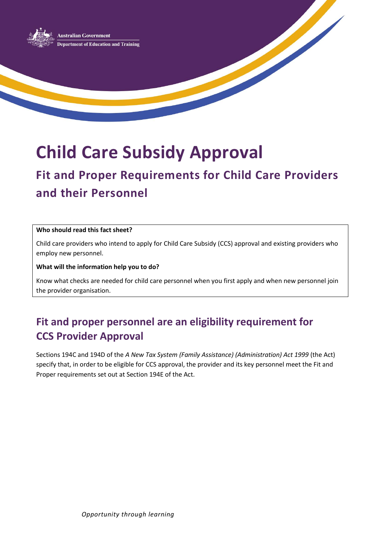

**Child Care Subsidy Approval**

# **Fit and Proper Requirements for Child Care Providers and their Personnel**

#### **Who should read this fact sheet?**

Child care providers who intend to apply for Child Care Subsidy (CCS) approval and existing providers who employ new personnel.

#### **What will the information help you to do?**

Know what checks are needed for child care personnel when you first apply and when new personnel join the provider organisation.

### **Fit and proper personnel are an eligibility requirement for CCS Provider Approval**

Sections 194C and 194D of the *A New Tax System (Family Assistance) (Administration) Act 1999* (the Act) specify that, in order to be eligible for CCS approval, the provider and its key personnel meet the Fit and Proper requirements set out at Section 194E of the Act.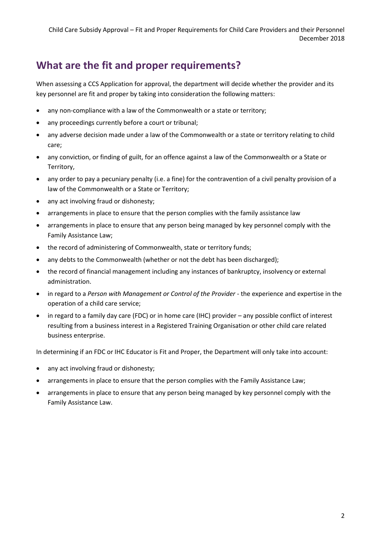### **What are the fit and proper requirements?**

When assessing a CCS Application for approval, the department will decide whether the provider and its key personnel are fit and proper by taking into consideration the following matters:

- any non-compliance with a law of the Commonwealth or a state or territory;
- any proceedings currently before a court or tribunal;
- any adverse decision made under a law of the Commonwealth or a state or territory relating to child care;
- any conviction, or finding of guilt, for an offence against a law of the Commonwealth or a State or Territory,
- any order to pay a pecuniary penalty (i.e. a fine) for the contravention of a civil penalty provision of a law of the Commonwealth or a State or Territory;
- any act involving fraud or dishonesty;
- arrangements in place to ensure that the person complies with the family assistance law
- arrangements in place to ensure that any person being managed by key personnel comply with the Family Assistance Law;
- the record of administering of Commonwealth, state or territory funds;
- any debts to the Commonwealth (whether or not the debt has been discharged);
- the record of financial management including any instances of bankruptcy, insolvency or external administration.
- in regard to a *Person with Management or Control of the Provider* the experience and expertise in the operation of a child care service;
- in regard to a family day care (FDC) or in home care (IHC) provider any possible conflict of interest resulting from a business interest in a Registered Training Organisation or other child care related business enterprise.

In determining if an FDC or IHC Educator is Fit and Proper, the Department will only take into account:

- any act involving fraud or dishonesty;
- arrangements in place to ensure that the person complies with the Family Assistance Law;
- arrangements in place to ensure that any person being managed by key personnel comply with the Family Assistance Law.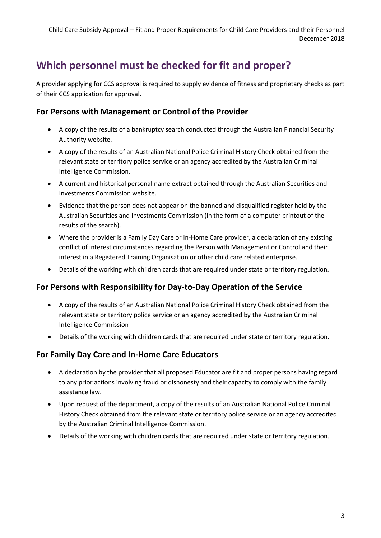## **Which personnel must be checked for fit and proper?**

A provider applying for CCS approval is required to supply evidence of fitness and proprietary checks as part of their CCS application for approval.

#### **For Persons with Management or Control of the Provider**

- A copy of the results of a bankruptcy search conducted through the Australian Financial Security Authority website.
- A copy of the results of an Australian National Police Criminal History Check obtained from the relevant state or territory police service or an agency accredited by the Australian Criminal Intelligence Commission.
- A current and historical personal name extract obtained through the Australian Securities and Investments Commission website.
- Evidence that the person does not appear on the banned and disqualified register held by the Australian Securities and Investments Commission (in the form of a computer printout of the results of the search).
- Where the provider is a Family Day Care or In-Home Care provider, a declaration of any existing conflict of interest circumstances regarding the Person with Management or Control and their interest in a Registered Training Organisation or other child care related enterprise.
- Details of the working with children cards that are required under state or territory regulation.

### **For Persons with Responsibility for Day-to-Day Operation of the Service**

- A copy of the results of an Australian National Police Criminal History Check obtained from the relevant state or territory police service or an agency accredited by the Australian Criminal Intelligence Commission
- Details of the working with children cards that are required under state or territory regulation.

### **For Family Day Care and In-Home Care Educators**

- A declaration by the provider that all proposed Educator are fit and proper persons having regard to any prior actions involving fraud or dishonesty and their capacity to comply with the family assistance law.
- Upon request of the department, a copy of the results of an Australian National Police Criminal History Check obtained from the relevant state or territory police service or an agency accredited by the Australian Criminal Intelligence Commission.
- Details of the working with children cards that are required under state or territory regulation.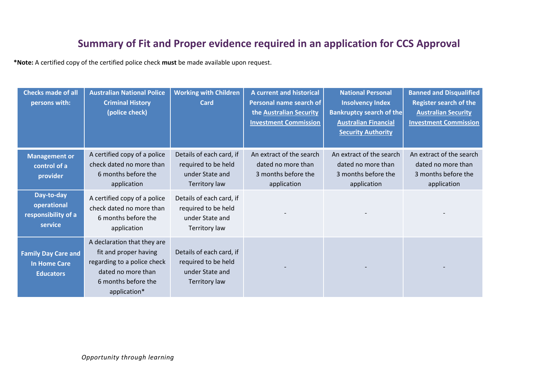### **Summary of Fit and Proper evidence required in an application for CCS Approval**

**\*Note:** A certified copy of the certified police check **must** be made available upon request.

| <b>Checks made of all</b><br>persons with:                            | <b>Australian National Police</b><br><b>Criminal History</b><br>(police check)                                                                   | <b>Working with Children</b><br>Card                                                | A current and historical<br>Personal name search of<br>the Australian Security<br><b>Investment Commission</b> | <b>National Personal</b><br><b>Insolvency Index</b><br><b>Bankruptcy search of the</b><br><b>Australian Financial</b><br><b>Security Authority</b> | <b>Banned and Disqualified</b><br><b>Register search of the</b><br><b>Australian Security</b><br><b>Investment Commission</b> |
|-----------------------------------------------------------------------|--------------------------------------------------------------------------------------------------------------------------------------------------|-------------------------------------------------------------------------------------|----------------------------------------------------------------------------------------------------------------|----------------------------------------------------------------------------------------------------------------------------------------------------|-------------------------------------------------------------------------------------------------------------------------------|
| <b>Management or</b><br>control of a<br>provider                      | A certified copy of a police<br>check dated no more than<br>6 months before the<br>application                                                   | Details of each card, if<br>required to be held<br>under State and<br>Territory law | An extract of the search<br>dated no more than<br>3 months before the<br>application                           | An extract of the search<br>dated no more than<br>3 months before the<br>application                                                               | An extract of the search<br>dated no more than<br>3 months before the<br>application                                          |
| Day-to-day<br>operational<br>responsibility of a<br>service           | A certified copy of a police<br>check dated no more than<br>6 months before the<br>application                                                   | Details of each card, if<br>required to be held<br>under State and<br>Territory law |                                                                                                                |                                                                                                                                                    |                                                                                                                               |
| <b>Family Day Care and</b><br><b>In Home Care</b><br><b>Educators</b> | A declaration that they are<br>fit and proper having<br>regarding to a police check<br>dated no more than<br>6 months before the<br>application* | Details of each card, if<br>required to be held<br>under State and<br>Territory law |                                                                                                                |                                                                                                                                                    |                                                                                                                               |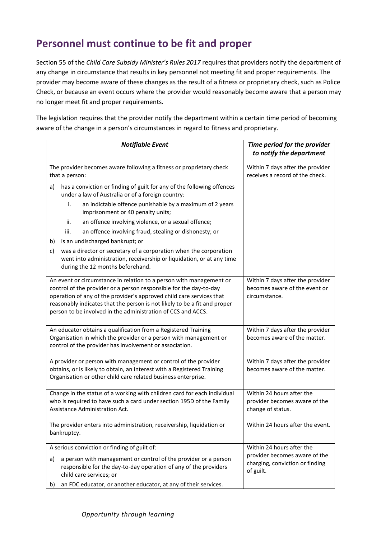### **Personnel must continue to be fit and proper**

Section 55 of the *Child Care Subsidy Minister's Rules 2017* requires that providers notify the department of any change in circumstance that results in key personnel not meeting fit and proper requirements. The provider may become aware of these changes as the result of a fitness or proprietary check, such as Police Check, or because an event occurs where the provider would reasonably become aware that a person may no longer meet fit and proper requirements.

The legislation requires that the provider notify the department within a certain time period of becoming aware of the change in a person's circumstances in regard to fitness and proprietary.

| <b>Notifiable Event</b>                                                                                                                                                                                                                                                                                                                                        | Time period for the provider<br>to notify the department                           |  |
|----------------------------------------------------------------------------------------------------------------------------------------------------------------------------------------------------------------------------------------------------------------------------------------------------------------------------------------------------------------|------------------------------------------------------------------------------------|--|
| The provider becomes aware following a fitness or proprietary check<br>that a person:                                                                                                                                                                                                                                                                          | Within 7 days after the provider<br>receives a record of the check.                |  |
| has a conviction or finding of guilt for any of the following offences<br>a)<br>under a law of Australia or of a foreign country:                                                                                                                                                                                                                              |                                                                                    |  |
| an indictable offence punishable by a maximum of 2 years<br>i.<br>imprisonment or 40 penalty units;                                                                                                                                                                                                                                                            |                                                                                    |  |
| an offence involving violence, or a sexual offence;<br>ii.                                                                                                                                                                                                                                                                                                     |                                                                                    |  |
| an offence involving fraud, stealing or dishonesty; or<br>iii.                                                                                                                                                                                                                                                                                                 |                                                                                    |  |
| is an undischarged bankrupt; or<br>b)                                                                                                                                                                                                                                                                                                                          |                                                                                    |  |
| was a director or secretary of a corporation when the corporation<br>c)<br>went into administration, receivership or liquidation, or at any time<br>during the 12 months beforehand.                                                                                                                                                                           |                                                                                    |  |
| An event or circumstance in relation to a person with management or<br>control of the provider or a person responsible for the day-to-day<br>operation of any of the provider's approved child care services that<br>reasonably indicates that the person is not likely to be a fit and proper<br>person to be involved in the administration of CCS and ACCS. | Within 7 days after the provider<br>becomes aware of the event or<br>circumstance. |  |
| An educator obtains a qualification from a Registered Training<br>Organisation in which the provider or a person with management or<br>control of the provider has involvement or association.                                                                                                                                                                 | Within 7 days after the provider<br>becomes aware of the matter.                   |  |
| A provider or person with management or control of the provider<br>obtains, or is likely to obtain, an interest with a Registered Training<br>Organisation or other child care related business enterprise.                                                                                                                                                    | Within 7 days after the provider<br>becomes aware of the matter.                   |  |
| Change in the status of a working with children card for each individual<br>who is required to have such a card under section 195D of the Family<br>Assistance Administration Act.                                                                                                                                                                             | Within 24 hours after the<br>provider becomes aware of the<br>change of status.    |  |
| The provider enters into administration, receivership, liquidation or<br>bankruptcy.                                                                                                                                                                                                                                                                           | Within 24 hours after the event.                                                   |  |
| A serious conviction or finding of guilt of:                                                                                                                                                                                                                                                                                                                   | Within 24 hours after the                                                          |  |
| provider becomes aware of the<br>a person with management or control of the provider or a person<br>a)<br>charging, conviction or finding<br>responsible for the day-to-day operation of any of the providers<br>of guilt.<br>child care services; or                                                                                                          |                                                                                    |  |
| an FDC educator, or another educator, at any of their services.<br>b)                                                                                                                                                                                                                                                                                          |                                                                                    |  |